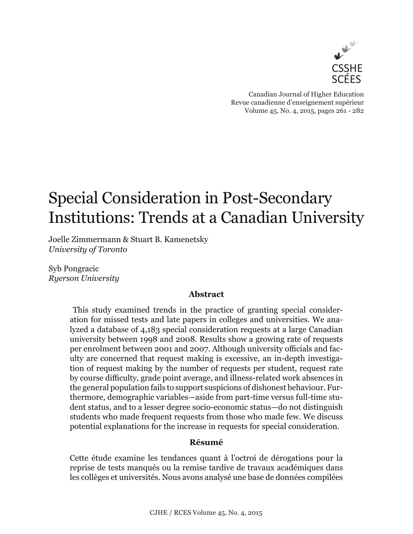

Canadian Journal of Higher Education Revue canadienne d'enseignement supérieur Volume 45, No. 4, 2015, pages 261 - 282

# Special Consideration in Post-Secondary Institutions: Trends at a Canadian University

Joelle Zimmermann & Stuart B. Kamenetsky *University of Toronto*

Syb Pongracic *Ryerson University*

## **Abstract**

This study examined trends in the practice of granting special consideration for missed tests and late papers in colleges and universities. We analyzed a database of 4,183 special consideration requests at a large Canadian university between 1998 and 2008. Results show a growing rate of requests per enrolment between 2001 and 2007. Although university officials and faculty are concerned that request making is excessive, an in-depth investigation of request making by the number of requests per student, request rate by course difficulty, grade point average, and illness-related work absences in the general population fails to support suspicions of dishonest behaviour. Furthermore, demographic variables—aside from part-time versus full-time student status, and to a lesser degree socio-economic status—do not distinguish students who made frequent requests from those who made few. We discuss potential explanations for the increase in requests for special consideration.

# **Résumé**

Cette étude examine les tendances quant à l'octroi de dérogations pour la reprise de tests manqués ou la remise tardive de travaux académiques dans les collèges et universités. Nous avons analysé une base de données compilées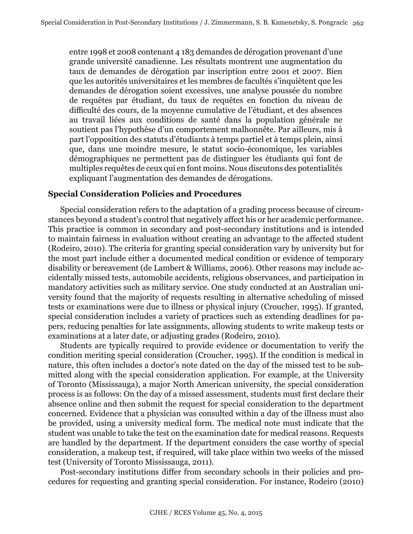entre 1998 et 2008 contenant 4 183 demandes de dérogation provenant d'une grande université canadienne. Les résultats montrent une augmentation du taux de demandes de dérogation par inscription entre 2001 et 2007. Bien que les autorités universitaires et les membres de facultés s'inquiètent que les demandes de dérogation soient excessives, une analyse poussée du nombre de requêtes par étudiant, du taux de requêtes en fonction du niveau de difficulté des cours, de la moyenne cumulative de l'étudiant, et des absences au travail liées aux conditions de santé dans la population générale ne soutient pas l'hypothèse d'un comportement malhonnête. Par ailleurs, mis à part l'opposition des statuts d'étudiants à temps partiel et à temps plein, ainsi que, dans une moindre mesure, le statut socio-économique, les variables démographiques ne permettent pas de distinguer les étudiants qui font de multiples requêtes de ceux qui en font moins. Nous discutons des potentialités expliquant l'augmentation des demandes de dérogations.

## **Special Consideration Policies and Procedures**

Special consideration refers to the adaptation of a grading process because of circumstances beyond a student's control that negatively affect his or her academic performance. This practice is common in secondary and post-secondary institutions and is intended to maintain fairness in evaluation without creating an advantage to the affected student (Rodeiro, 2010). The criteria for granting special consideration vary by university but for the most part include either a documented medical condition or evidence of temporary disability or bereavement (de Lambert & Williams, 2006). Other reasons may include accidentally missed tests, automobile accidents, religious observances, and participation in mandatory activities such as military service. One study conducted at an Australian university found that the majority of requests resulting in alternative scheduling of missed tests or examinations were due to illness or physical injury (Croucher, 1995). If granted, special consideration includes a variety of practices such as extending deadlines for papers, reducing penalties for late assignments, allowing students to write makeup tests or examinations at a later date, or adjusting grades (Rodeiro, 2010).

Students are typically required to provide evidence or documentation to verify the condition meriting special consideration (Croucher, 1995). If the condition is medical in nature, this often includes a doctor's note dated on the day of the missed test to be submitted along with the special consideration application. For example, at the University of Toronto (Mississauga), a major North American university, the special consideration process is as follows: On the day of a missed assessment, students must first declare their absence online and then submit the request for special consideration to the department concerned. Evidence that a physician was consulted within a day of the illness must also be provided, using a university medical form. The medical note must indicate that the student was unable to take the test on the examination date for medical reasons. Requests are handled by the department. If the department considers the case worthy of special consideration, a makeup test, if required, will take place within two weeks of the missed test (University of Toronto Mississauga, 2011).

Post-secondary institutions differ from secondary schools in their policies and procedures for requesting and granting special consideration. For instance, Rodeiro (2010)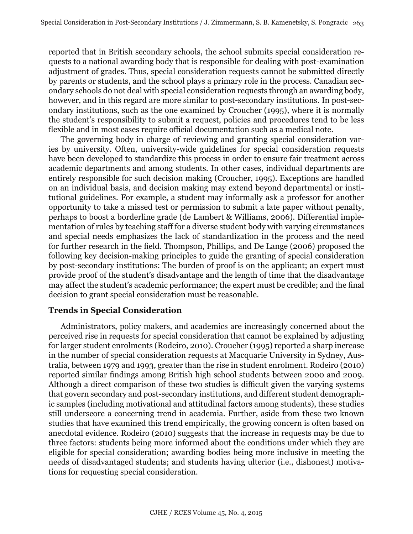reported that in British secondary schools, the school submits special consideration requests to a national awarding body that is responsible for dealing with post-examination adjustment of grades. Thus, special consideration requests cannot be submitted directly by parents or students, and the school plays a primary role in the process. Canadian secondary schools do not deal with special consideration requests through an awarding body, however, and in this regard are more similar to post-secondary institutions. In post-secondary institutions, such as the one examined by Croucher (1995), where it is normally the student's responsibility to submit a request, policies and procedures tend to be less flexible and in most cases require official documentation such as a medical note.

The governing body in charge of reviewing and granting special consideration varies by university. Often, university-wide guidelines for special consideration requests have been developed to standardize this process in order to ensure fair treatment across academic departments and among students. In other cases, individual departments are entirely responsible for such decision making (Croucher, 1995). Exceptions are handled on an individual basis, and decision making may extend beyond departmental or institutional guidelines. For example, a student may informally ask a professor for another opportunity to take a missed test or permission to submit a late paper without penalty, perhaps to boost a borderline grade (de Lambert & Williams, 2006). Differential implementation of rules by teaching staff for a diverse student body with varying circumstances and special needs emphasizes the lack of standardization in the process and the need for further research in the field. Thompson, Phillips, and De Lange (2006) proposed the following key decision-making principles to guide the granting of special consideration by post-secondary institutions: The burden of proof is on the applicant; an expert must provide proof of the student's disadvantage and the length of time that the disadvantage may affect the student's academic performance; the expert must be credible; and the final decision to grant special consideration must be reasonable.

## **Trends in Special Consideration**

Administrators, policy makers, and academics are increasingly concerned about the perceived rise in requests for special consideration that cannot be explained by adjusting for larger student enrolments (Rodeiro, 2010). Croucher (1995) reported a sharp increase in the number of special consideration requests at Macquarie University in Sydney, Australia, between 1979 and 1993, greater than the rise in student enrolment. Rodeiro (2010) reported similar findings among British high school students between 2000 and 2009. Although a direct comparison of these two studies is difficult given the varying systems that govern secondary and post-secondary institutions, and different student demographic samples (including motivational and attitudinal factors among students), these studies still underscore a concerning trend in academia. Further, aside from these two known studies that have examined this trend empirically, the growing concern is often based on anecdotal evidence. Rodeiro (2010) suggests that the increase in requests may be due to three factors: students being more informed about the conditions under which they are eligible for special consideration; awarding bodies being more inclusive in meeting the needs of disadvantaged students; and students having ulterior (i.e., dishonest) motivations for requesting special consideration.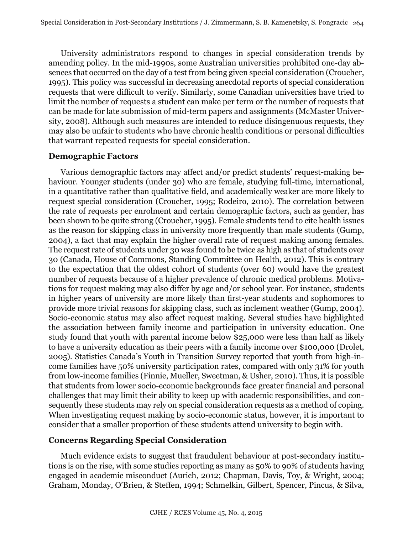University administrators respond to changes in special consideration trends by amending policy. In the mid-1990s, some Australian universities prohibited one-day absences that occurred on the day of a test from being given special consideration (Croucher, 1995). This policy was successful in decreasing anecdotal reports of special consideration requests that were difficult to verify. Similarly, some Canadian universities have tried to limit the number of requests a student can make per term or the number of requests that can be made for late submission of mid-term papers and assignments (McMaster University, 2008). Although such measures are intended to reduce disingenuous requests, they may also be unfair to students who have chronic health conditions or personal difficulties that warrant repeated requests for special consideration.

## **Demographic Factors**

Various demographic factors may affect and/or predict students' request-making behaviour. Younger students (under 30) who are female, studying full-time, international, in a quantitative rather than qualitative field, and academically weaker are more likely to request special consideration (Croucher, 1995; Rodeiro, 2010). The correlation between the rate of requests per enrolment and certain demographic factors, such as gender, has been shown to be quite strong (Croucher, 1995). Female students tend to cite health issues as the reason for skipping class in university more frequently than male students (Gump, 2004), a fact that may explain the higher overall rate of request making among females. The request rate of students under 30 was found to be twice as high as that of students over 30 (Canada, House of Commons, Standing Committee on Health, 2012). This is contrary to the expectation that the oldest cohort of students (over 60) would have the greatest number of requests because of a higher prevalence of chronic medical problems. Motivations for request making may also differ by age and/or school year. For instance, students in higher years of university are more likely than first-year students and sophomores to provide more trivial reasons for skipping class, such as inclement weather (Gump, 2004). Socio-economic status may also affect request making. Several studies have highlighted the association between family income and participation in university education. One study found that youth with parental income below \$25,000 were less than half as likely to have a university education as their peers with a family income over \$100,000 (Drolet, 2005). Statistics Canada's Youth in Transition Survey reported that youth from high-income families have 50% university participation rates, compared with only 31% for youth from low-income families (Finnie, Mueller, Sweetman, & Usher, 2010). Thus, it is possible that students from lower socio-economic backgrounds face greater financial and personal challenges that may limit their ability to keep up with academic responsibilities, and consequently these students may rely on special consideration requests as a method of coping. When investigating request making by socio-economic status, however, it is important to consider that a smaller proportion of these students attend university to begin with.

## **Concerns Regarding Special Consideration**

Much evidence exists to suggest that fraudulent behaviour at post-secondary institutions is on the rise, with some studies reporting as many as 50% to 90% of students having engaged in academic misconduct (Aurich, 2012; Chapman, Davis, Toy, & Wright, 2004; Graham, Monday, O'Brien, & Steffen, 1994; Schmelkin, Gilbert, Spencer, Pincus, & Silva,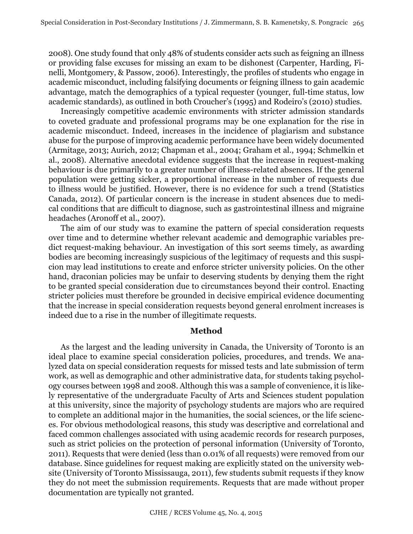2008). One study found that only 48% of students consider acts such as feigning an illness or providing false excuses for missing an exam to be dishonest (Carpenter, Harding, Finelli, Montgomery, & Passow, 2006). Interestingly, the profiles of students who engage in academic misconduct, including falsifying documents or feigning illness to gain academic advantage, match the demographics of a typical requester (younger, full-time status, low academic standards), as outlined in both Croucher's (1995) and Rodeiro's (2010) studies.

Increasingly competitive academic environments with stricter admission standards to coveted graduate and professional programs may be one explanation for the rise in academic misconduct. Indeed, increases in the incidence of plagiarism and substance abuse for the purpose of improving academic performance have been widely documented (Armitage, 2013; Aurich, 2012; Chapman et al., 2004; Graham et al., 1994; Schmelkin et al., 2008). Alternative anecdotal evidence suggests that the increase in request-making behaviour is due primarily to a greater number of illness-related absences. If the general population were getting sicker, a proportional increase in the number of requests due to illness would be justified. However, there is no evidence for such a trend (Statistics Canada, 2012). Of particular concern is the increase in student absences due to medical conditions that are difficult to diagnose, such as gastrointestinal illness and migraine headaches (Aronoff et al., 2007).

The aim of our study was to examine the pattern of special consideration requests over time and to determine whether relevant academic and demographic variables predict request-making behaviour. An investigation of this sort seems timely, as awarding bodies are becoming increasingly suspicious of the legitimacy of requests and this suspicion may lead institutions to create and enforce stricter university policies. On the other hand, draconian policies may be unfair to deserving students by denying them the right to be granted special consideration due to circumstances beyond their control. Enacting stricter policies must therefore be grounded in decisive empirical evidence documenting that the increase in special consideration requests beyond general enrolment increases is indeed due to a rise in the number of illegitimate requests.

#### **Method**

As the largest and the leading university in Canada, the University of Toronto is an ideal place to examine special consideration policies, procedures, and trends. We analyzed data on special consideration requests for missed tests and late submission of term work, as well as demographic and other administrative data, for students taking psychology courses between 1998 and 2008. Although this was a sample of convenience, it is likely representative of the undergraduate Faculty of Arts and Sciences student population at this university, since the majority of psychology students are majors who are required to complete an additional major in the humanities, the social sciences, or the life sciences. For obvious methodological reasons, this study was descriptive and correlational and faced common challenges associated with using academic records for research purposes, such as strict policies on the protection of personal information (University of Toronto, 2011). Requests that were denied (less than 0.01% of all requests) were removed from our database. Since guidelines for request making are explicitly stated on the university website (University of Toronto Mississauga, 2011), few students submit requests if they know they do not meet the submission requirements. Requests that are made without proper documentation are typically not granted.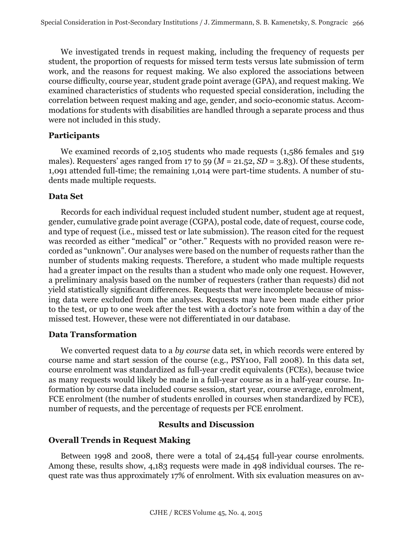We investigated trends in request making, including the frequency of requests per student, the proportion of requests for missed term tests versus late submission of term work, and the reasons for request making. We also explored the associations between course difficulty, course year, student grade point average (GPA), and request making. We examined characteristics of students who requested special consideration, including the correlation between request making and age, gender, and socio-economic status. Accommodations for students with disabilities are handled through a separate process and thus were not included in this study.

#### **Participants**

We examined records of 2,105 students who made requests (1,586 females and 519) males). Requesters' ages ranged from 17 to 59 ( $M = 21.52$ ,  $SD = 3.83$ ). Of these students, 1,091 attended full-time; the remaining 1,014 were part-time students. A number of students made multiple requests.

## **Data Set**

Records for each individual request included student number, student age at request, gender, cumulative grade point average (CGPA), postal code, date of request, course code, and type of request (i.e., missed test or late submission). The reason cited for the request was recorded as either "medical" or "other." Requests with no provided reason were recorded as "unknown". Our analyses were based on the number of requests rather than the number of students making requests. Therefore, a student who made multiple requests had a greater impact on the results than a student who made only one request. However, a preliminary analysis based on the number of requesters (rather than requests) did not yield statistically significant differences. Requests that were incomplete because of missing data were excluded from the analyses. Requests may have been made either prior to the test, or up to one week after the test with a doctor's note from within a day of the missed test. However, these were not differentiated in our database.

## **Data Transformation**

We converted request data to a *by course* data set, in which records were entered by course name and start session of the course (e.g., PSY100, Fall 2008). In this data set, course enrolment was standardized as full-year credit equivalents (FCEs), because twice as many requests would likely be made in a full-year course as in a half-year course. Information by course data included course session, start year, course average, enrolment, FCE enrolment (the number of students enrolled in courses when standardized by FCE), number of requests, and the percentage of requests per FCE enrolment.

## **Results and Discussion**

## **Overall Trends in Request Making**

Between 1998 and 2008, there were a total of 24,454 full-year course enrolments. Among these, results show, 4,183 requests were made in 498 individual courses. The request rate was thus approximately 17% of enrolment. With six evaluation measures on av-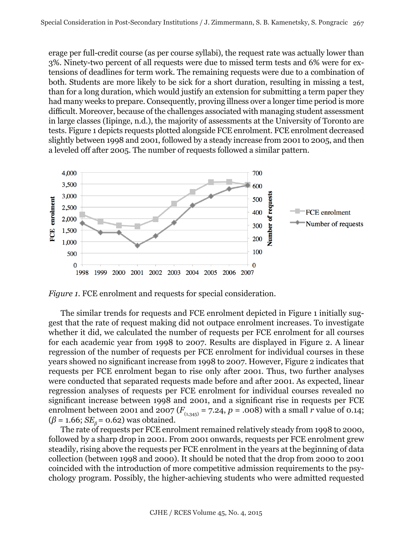erage per full-credit course (as per course syllabi), the request rate was actually lower than 3%. Ninety-two percent of all requests were due to missed term tests and 6% were for extensions of deadlines for term work. The remaining requests were due to a combination of both. Students are more likely to be sick for a short duration, resulting in missing a test, than for a long duration, which would justify an extension for submitting a term paper they had many weeks to prepare. Consequently, proving illness over a longer time period is more difficult. Moreover, because of the challenges associated with managing student assessment in large classes (Iipinge, n.d.), the majority of assessments at the University of Toronto are tests. Figure 1 depicts requests plotted alongside FCE enrolment*.* FCE enrolment decreased slightly between 1998 and 2001, followed by a steady increase from 2001 to 2005, and then a leveled off after 2005. The number of requests followed a similar pattern.



*Figure 1.* FCE enrolment and requests for special consideration.

The similar trends for requests and FCE enrolment depicted in Figure 1 initially suggest that the rate of request making did not outpace enrolment increases. To investigate whether it did, we calculated the number of requests per FCE enrolment for all courses for each academic year from 1998 to 2007. Results are displayed in Figure 2. A linear regression of the number of requests per FCE enrolment for individual courses in these years showed no significant increase from 1998 to 2007. However, Figure 2 indicates that requests per FCE enrolment began to rise only after 2001. Thus, two further analyses were conducted that separated requests made before and after 2001. As expected, linear regression analyses of requests per FCE enrolment for individual courses revealed no significant increase between 1998 and 2001, and a significant rise in requests per FCE enrolment between 2001 and 2007 ( $F_{(1,345)} = 7.24$ ,  $p = .008$ ) with a small *r* value of 0.14;  $(\beta = 1.66; SE<sub>β</sub> = 0.62)$  was obtained.

The rate of requests per FCE enrolment remained relatively steady from 1998 to 2000, followed by a sharp drop in 2001. From 2001 onwards, requests per FCE enrolment grew steadily, rising above the requests per FCE enrolment in the years at the beginning of data collection (between 1998 and 2000). It should be noted that the drop from 2000 to 2001 coincided with the introduction of more competitive admission requirements to the psychology program. Possibly, the higher-achieving students who were admitted requested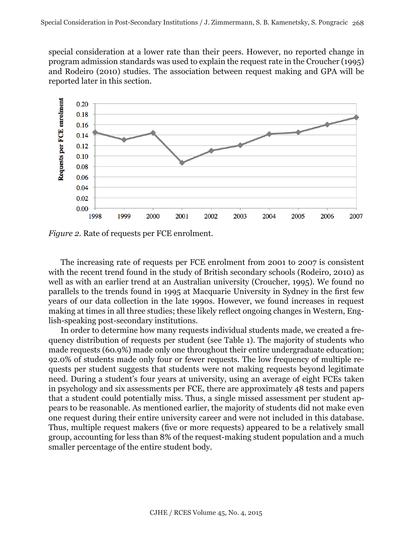special consideration at a lower rate than their peers. However, no reported change in program admission standards was used to explain the request rate in the Croucher (1995) and Rodeiro (2010) studies. The association between request making and GPA will be reported later in this section.



*Figure 2.* Rate of requests per FCE enrolment.

The increasing rate of requests per FCE enrolment from 2001 to 2007 is consistent with the recent trend found in the study of British secondary schools (Rodeiro, 2010) as well as with an earlier trend at an Australian university (Croucher, 1995). We found no parallels to the trends found in 1995 at Macquarie University in Sydney in the first few years of our data collection in the late 1990s. However, we found increases in request making at times in all three studies; these likely reflect ongoing changes in Western, English-speaking post-secondary institutions.

In order to determine how many requests individual students made, we created a frequency distribution of requests per student (see Table 1). The majority of students who made requests (60.9%) made only one throughout their entire undergraduate education; 92.0% of students made only four or fewer requests. The low frequency of multiple requests per student suggests that students were not making requests beyond legitimate need. During a student's four years at university, using an average of eight FCEs taken in psychology and six assessments per FCE, there are approximately 48 tests and papers that a student could potentially miss. Thus, a single missed assessment per student appears to be reasonable. As mentioned earlier, the majority of students did not make even one request during their entire university career and were not included in this database. Thus, multiple request makers (five or more requests) appeared to be a relatively small group, accounting for less than 8% of the request-making student population and a much smaller percentage of the entire student body.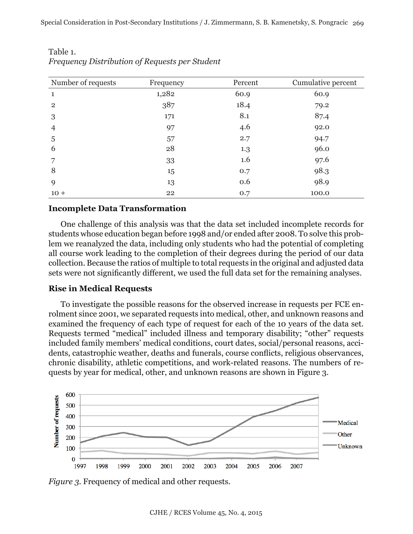| Number of requests | Frequency | Percent | Cumulative percent |  |
|--------------------|-----------|---------|--------------------|--|
| 1                  | 1,282     | 60.9    | 60.9               |  |
| $\overline{2}$     | 387       | 18.4    | 79.2               |  |
| 3                  | 171       | 8.1     | 87.4               |  |
| 4                  | 97        | 4.6     | 92.0               |  |
| 5                  | 57        | 2.7     | 94.7               |  |
| 6                  | 28        | 1.3     | 96.0               |  |
| 7                  | 33        | 1.6     | 97.6               |  |
| 8                  | 15        | 0.7     | 98.3               |  |
| 9                  | 13        | 0.6     | 98.9               |  |
| $10+$              | 22        | 0.7     | 100.0              |  |

Table 1. *Frequency Distribution of Requests per Student*

#### **Incomplete Data Transformation**

One challenge of this analysis was that the data set included incomplete records for students whose education began before 1998 and/or ended after 2008. To solve this problem we reanalyzed the data, including only students who had the potential of completing all course work leading to the completion of their degrees during the period of our data collection. Because the ratios of multiple to total requests in the original and adjusted data sets were not significantly different, we used the full data set for the remaining analyses.

#### **Rise in Medical Requests**

To investigate the possible reasons for the observed increase in requests per FCE enrolment since 2001, we separated requests into medical, other, and unknown reasons and examined the frequency of each type of request for each of the 10 years of the data set. Requests termed "medical" included illness and temporary disability; "other" requests included family members' medical conditions, court dates, social/personal reasons, accidents, catastrophic weather, deaths and funerals, course conflicts, religious observances, chronic disability, athletic competitions, and work-related reasons. The numbers of requests by year for medical, other, and unknown reasons are shown in Figure 3.



*Figure 3.* Frequency of medical and other requests.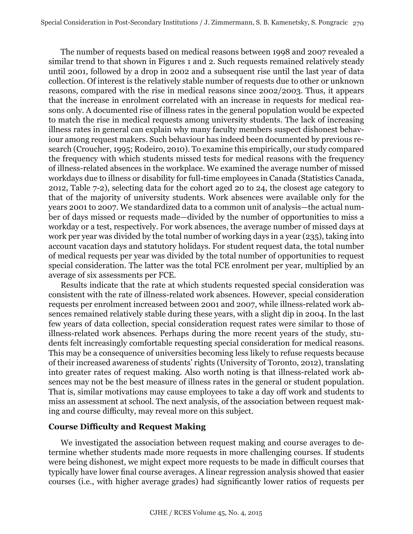The number of requests based on medical reasons between 1998 and 2007 revealed a similar trend to that shown in Figures 1 and 2. Such requests remained relatively steady until 2001, followed by a drop in 2002 and a subsequent rise until the last year of data collection. Of interest is the relatively stable number of requests due to other or unknown reasons, compared with the rise in medical reasons since 2002/2003. Thus, it appears that the increase in enrolment correlated with an increase in requests for medical reasons only. A documented rise of illness rates in the general population would be expected to match the rise in medical requests among university students. The lack of increasing illness rates in general can explain why many faculty members suspect dishonest behaviour among request makers. Such behaviour has indeed been documented by previous research (Croucher, 1995; Rodeiro, 2010). To examine this empirically, our study compared the frequency with which students missed tests for medical reasons with the frequency of illness-related absences in the workplace. We examined the average number of missed workdays due to illness or disability for full-time employees in Canada (Statistics Canada, 2012, Table 7-2), selecting data for the cohort aged 20 to 24, the closest age category to that of the majority of university students. Work absences were available only for the years 2001 to 2007. We standardized data to a common unit of analysis—the actual number of days missed or requests made—divided by the number of opportunities to miss a workday or a test, respectively. For work absences, the average number of missed days at work per year was divided by the total number of working days in a year (235), taking into account vacation days and statutory holidays. For student request data, the total number of medical requests per year was divided by the total number of opportunities to request special consideration. The latter was the total FCE enrolment per year, multiplied by an average of six assessments per FCE.

Results indicate that the rate at which students requested special consideration was consistent with the rate of illness-related work absences. However, special consideration requests per enrolment increased between 2001 and 2007, while illness-related work absences remained relatively stable during these years, with a slight dip in 2004. In the last few years of data collection, special consideration request rates were similar to those of illness-related work absences. Perhaps during the more recent years of the study, students felt increasingly comfortable requesting special consideration for medical reasons. This may be a consequence of universities becoming less likely to refuse requests because of their increased awareness of students' rights (University of Toronto, 2012), translating into greater rates of request making. Also worth noting is that illness-related work absences may not be the best measure of illness rates in the general or student population. That is, similar motivations may cause employees to take a day off work and students to miss an assessment at school. The next analysis, of the association between request making and course difficulty, may reveal more on this subject.

## **Course Difficulty and Request Making**

We investigated the association between request making and course averages to determine whether students made more requests in more challenging courses. If students were being dishonest, we might expect more requests to be made in difficult courses that typically have lower final course averages. A linear regression analysis showed that easier courses (i.e., with higher average grades) had significantly lower ratios of requests per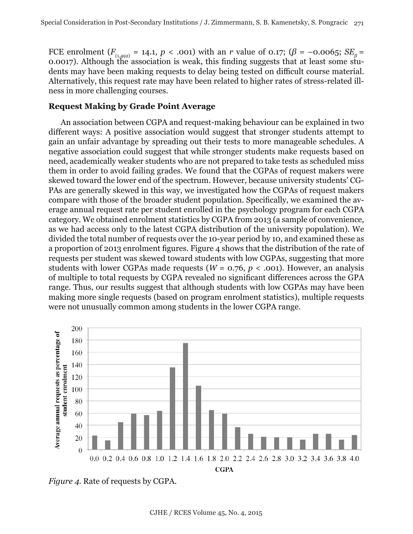FCE enrolment ( $F_{(1,492)} = 14.1$ ,  $p < .001$ ) with an *r* value of 0.17; ( $\beta = -0.0065$ ;  $SE_{\beta} =$ 0.0017). Although the association is weak, this finding suggests that at least some students may have been making requests to delay being tested on difficult course material. Alternatively, this request rate may have been related to higher rates of stress-related illness in more challenging courses.

## **Request Making by Grade Point Average**

An association between CGPA and request-making behaviour can be explained in two different ways: A positive association would suggest that stronger students attempt to gain an unfair advantage by spreading out their tests to more manageable schedules. A negative association could suggest that while stronger students make requests based on need, academically weaker students who are not prepared to take tests as scheduled miss them in order to avoid failing grades. We found that the CGPAs of request makers were skewed toward the lower end of the spectrum. However, because university students' CG-PAs are generally skewed in this way, we investigated how the CGPAs of request makers compare with those of the broader student population. Specifically, we examined the average annual request rate per student enrolled in the psychology program for each CGPA category. We obtained enrolment statistics by CGPA from 2013 (a sample of convenience, as we had access only to the latest CGPA distribution of the university population). We divided the total number of requests over the 10-year period by 10, and examined these as a proportion of 2013 enrolment figures. Figure 4 shows that the distribution of the rate of requests per student was skewed toward students with low CGPAs, suggesting that more students with lower CGPAs made requests ( $W = 0.76$ ,  $p < .001$ ). However, an analysis of multiple to total requests by CGPA revealed no significant differences across the GPA range. Thus, our results suggest that although students with low CGPAs may have been making more single requests (based on program enrolment statistics), multiple requests were not unusually common among students in the lower CGPA range.



*Figure 4.* Rate of requests by CGPA.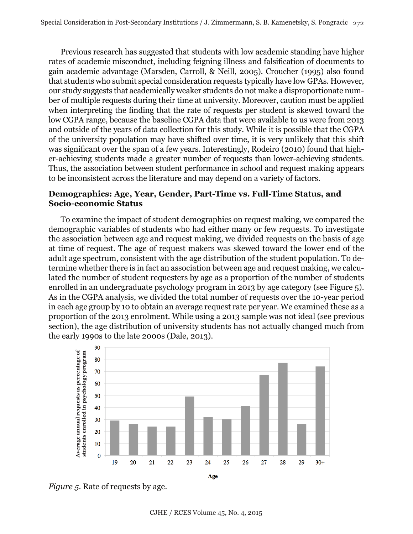Previous research has suggested that students with low academic standing have higher rates of academic misconduct, including feigning illness and falsification of documents to gain academic advantage (Marsden, Carroll, & Neill, 2005). Croucher (1995) also found that students who submit special consideration requests typically have low GPAs. However, our study suggests that academically weaker students do not make a disproportionate number of multiple requests during their time at university. Moreover, caution must be applied when interpreting the finding that the rate of requests per student is skewed toward the low CGPA range, because the baseline CGPA data that were available to us were from 2013 and outside of the years of data collection for this study. While it is possible that the CGPA of the university population may have shifted over time, it is very unlikely that this shift was significant over the span of a few years. Interestingly, Rodeiro (2010) found that higher-achieving students made a greater number of requests than lower-achieving students. Thus, the association between student performance in school and request making appears to be inconsistent across the literature and may depend on a variety of factors.

## **Demographics: Age, Year, Gender, Part-Time vs. Full-Time Status, and Socio-economic Status**

To examine the impact of student demographics on request making, we compared the demographic variables of students who had either many or few requests. To investigate the association between age and request making, we divided requests on the basis of age at time of request. The age of request makers was skewed toward the lower end of the adult age spectrum, consistent with the age distribution of the student population. To determine whether there is in fact an association between age and request making, we calculated the number of student requesters by age as a proportion of the number of students enrolled in an undergraduate psychology program in 2013 by age category (see Figure 5). As in the CGPA analysis, we divided the total number of requests over the 10-year period in each age group by 10 to obtain an average request rate per year. We examined these as a proportion of the 2013 enrolment. While using a 2013 sample was not ideal (see previous section), the age distribution of university students has not actually changed much from the early 1990s to the late 2000s (Dale, 2013).

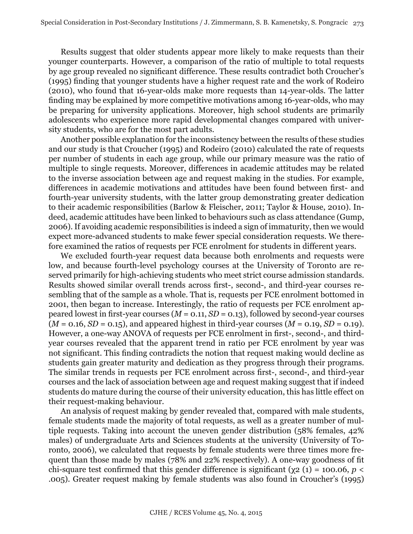Results suggest that older students appear more likely to make requests than their younger counterparts. However, a comparison of the ratio of multiple to total requests by age group revealed no significant difference. These results contradict both Croucher's (1995) finding that younger students have a higher request rate and the work of Rodeiro (2010), who found that 16-year-olds make more requests than 14-year-olds. The latter finding may be explained by more competitive motivations among 16-year-olds, who may be preparing for university applications. Moreover, high school students are primarily adolescents who experience more rapid developmental changes compared with university students, who are for the most part adults.

Another possible explanation for the inconsistency between the results of these studies and our study is that Croucher (1995) and Rodeiro (2010) calculated the rate of requests per number of students in each age group, while our primary measure was the ratio of multiple to single requests. Moreover, differences in academic attitudes may be related to the inverse association between age and request making in the studies. For example, differences in academic motivations and attitudes have been found between first- and fourth-year university students, with the latter group demonstrating greater dedication to their academic responsibilities (Barlow & Fleischer, 2011; Taylor & House, 2010). Indeed, academic attitudes have been linked to behaviours such as class attendance (Gump, 2006). If avoiding academic responsibilities is indeed a sign of immaturity, then we would expect more-advanced students to make fewer special consideration requests. We therefore examined the ratios of requests per FCE enrolment for students in different years.

We excluded fourth-year request data because both enrolments and requests were low, and because fourth-level psychology courses at the University of Toronto are reserved primarily for high-achieving students who meet strict course admission standards. Results showed similar overall trends across first-, second-, and third-year courses resembling that of the sample as a whole. That is, requests per FCE enrolment bottomed in 2001, then began to increase. Interestingly, the ratio of requests per FCE enrolment appeared lowest in first-year courses (*M* = 0.11, *SD* = 0.13), followed by second-year courses  $(M = 0.16, SD = 0.15)$ , and appeared highest in third-year courses  $(M = 0.19, SD = 0.19)$ . However, a one-way ANOVA of requests per FCE enrolment in first-, second-, and thirdyear courses revealed that the apparent trend in ratio per FCE enrolment by year was not significant. This finding contradicts the notion that request making would decline as students gain greater maturity and dedication as they progress through their programs. The similar trends in requests per FCE enrolment across first-, second-, and third-year courses and the lack of association between age and request making suggest that if indeed students do mature during the course of their university education, this has little effect on their request-making behaviour.

An analysis of request making by gender revealed that, compared with male students, female students made the majority of total requests, as well as a greater number of multiple requests. Taking into account the uneven gender distribution (58% females, 42% males) of undergraduate Arts and Sciences students at the university (University of Toronto, 2006), we calculated that requests by female students were three times more frequent than those made by males (78% and 22% respectively). A one-way goodness of fit chi-square test confirmed that this gender difference is significant ( $\chi$ 2 (1) = 100.06, *p* < .005). Greater request making by female students was also found in Croucher's (1995)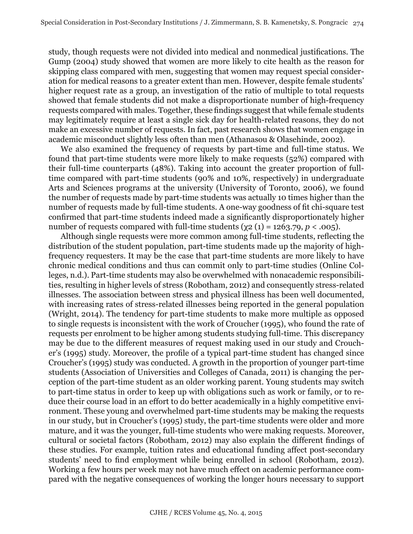study, though requests were not divided into medical and nonmedical justifications. The Gump (2004) study showed that women are more likely to cite health as the reason for skipping class compared with men, suggesting that women may request special consideration for medical reasons to a greater extent than men. However, despite female students' higher request rate as a group, an investigation of the ratio of multiple to total requests showed that female students did not make a disproportionate number of high-frequency requests compared with males. Together, these findings suggest that while female students may legitimately require at least a single sick day for health-related reasons, they do not make an excessive number of requests. In fact, past research shows that women engage in academic misconduct slightly less often than men (Athanasou & Olasehinde, 2002).

We also examined the frequency of requests by part-time and full-time status. We found that part-time students were more likely to make requests (52%) compared with their full-time counterparts (48%). Taking into account the greater proportion of fulltime compared with part-time students (90% and 10%, respectively) in undergraduate Arts and Sciences programs at the university (University of Toronto, 2006), we found the number of requests made by part-time students was actually 10 times higher than the number of requests made by full-time students. A one-way goodness of fit chi-square test confirmed that part-time students indeed made a significantly disproportionately higher number of requests compared with full-time students  $(y_2 (1) = 1263.79, p < .005)$ .

Although single requests were more common among full-time students, reflecting the distribution of the student population, part-time students made up the majority of highfrequency requesters. It may be the case that part-time students are more likely to have chronic medical conditions and thus can commit only to part-time studies (Online Colleges, n.d.). Part-time students may also be overwhelmed with nonacademic responsibilities, resulting in higher levels of stress (Robotham, 2012) and consequently stress-related illnesses. The association between stress and physical illness has been well documented, with increasing rates of stress-related illnesses being reported in the general population (Wright, 2014). The tendency for part-time students to make more multiple as opposed to single requests is inconsistent with the work of Croucher (1995), who found the rate of requests per enrolment to be higher among students studying full-time. This discrepancy may be due to the different measures of request making used in our study and Croucher's (1995) study. Moreover, the profile of a typical part-time student has changed since Croucher's (1995) study was conducted. A growth in the proportion of younger part-time students (Association of Universities and Colleges of Canada, 2011) is changing the perception of the part-time student as an older working parent. Young students may switch to part-time status in order to keep up with obligations such as work or family, or to reduce their course load in an effort to do better academically in a highly competitive environment. These young and overwhelmed part-time students may be making the requests in our study, but in Croucher's (1995) study, the part-time students were older and more mature, and it was the younger, full-time students who were making requests. Moreover, cultural or societal factors (Robotham, 2012) may also explain the different findings of these studies. For example, tuition rates and educational funding affect post-secondary students' need to find employment while being enrolled in school (Robotham, 2012). Working a few hours per week may not have much effect on academic performance compared with the negative consequences of working the longer hours necessary to support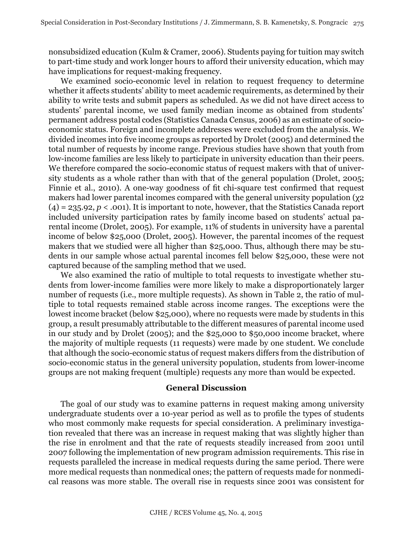nonsubsidized education (Kulm & Cramer, 2006). Students paying for tuition may switch to part-time study and work longer hours to afford their university education, which may have implications for request-making frequency.

We examined socio-economic level in relation to request frequency to determine whether it affects students' ability to meet academic requirements, as determined by their ability to write tests and submit papers as scheduled. As we did not have direct access to students' parental income, we used family median income as obtained from students' permanent address postal codes (Statistics Canada Census, 2006) as an estimate of socioeconomic status. Foreign and incomplete addresses were excluded from the analysis. We divided incomes into five income groups as reported by Drolet (2005) and determined the total number of requests by income range. Previous studies have shown that youth from low-income families are less likely to participate in university education than their peers. We therefore compared the socio-economic status of request makers with that of university students as a whole rather than with that of the general population (Drolet, 2005; Finnie et al., 2010). A one-way goodness of fit chi-square test confirmed that request makers had lower parental incomes compared with the general university population (χ2  $(4) = 235.92, p < .001$ . It is important to note, however, that the Statistics Canada report included university participation rates by family income based on students' actual parental income (Drolet, 2005). For example, 11% of students in university have a parental income of below \$25,000 (Drolet, 2005). However, the parental incomes of the request makers that we studied were all higher than \$25,000. Thus, although there may be students in our sample whose actual parental incomes fell below \$25,000, these were not captured because of the sampling method that we used.

We also examined the ratio of multiple to total requests to investigate whether students from lower-income families were more likely to make a disproportionately larger number of requests (i.e., more multiple requests). As shown in Table 2, the ratio of multiple to total requests remained stable across income ranges. The exceptions were the lowest income bracket (below \$25,000), where no requests were made by students in this group, a result presumably attributable to the different measures of parental income used in our study and by Drolet (2005); and the \$25,000 to \$50,000 income bracket, where the majority of multiple requests (11 requests) were made by one student. We conclude that although the socio-economic status of request makers differs from the distribution of socio-economic status in the general university population, students from lower-income groups are not making frequent (multiple) requests any more than would be expected.

#### **General Discussion**

The goal of our study was to examine patterns in request making among university undergraduate students over a 10-year period as well as to profile the types of students who most commonly make requests for special consideration. A preliminary investigation revealed that there was an increase in request making that was slightly higher than the rise in enrolment and that the rate of requests steadily increased from 2001 until 2007 following the implementation of new program admission requirements. This rise in requests paralleled the increase in medical requests during the same period. There were more medical requests than nonmedical ones; the pattern of requests made for nonmedical reasons was more stable. The overall rise in requests since 2001 was consistent for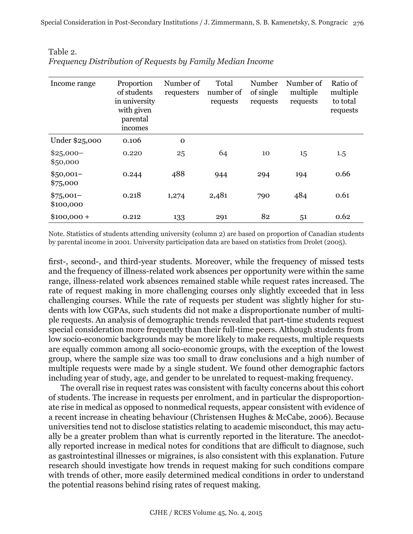| Income range            | Proportion<br>of students<br>in university<br>with given<br>parental<br>incomes | Number of<br>requesters | Total<br>number of<br>requests | Number<br>of single<br>requests | Number of<br>multiple<br>requests | Ratio of<br>multiple<br>to total<br>requests |
|-------------------------|---------------------------------------------------------------------------------|-------------------------|--------------------------------|---------------------------------|-----------------------------------|----------------------------------------------|
| Under \$25,000          | 0.106                                                                           | $\Omega$                |                                |                                 |                                   |                                              |
| $$25,000-$<br>\$50,000  | 0.220                                                                           | 25                      | 64                             | 10                              | 15                                | 1.5                                          |
| $$50,001-$<br>\$75,000  | 0.244                                                                           | 488                     | 944                            | 294                             | 194                               | 0.66                                         |
| $$75,001-$<br>\$100,000 | 0.218                                                                           | 1,274                   | 2,481                          | 790                             | 484                               | 0.61                                         |
| $$100,000 +$            | 0.212                                                                           | 133                     | 291                            | 82                              | 51                                | 0.62                                         |

| Table 2.                                                   |  |
|------------------------------------------------------------|--|
| Frequency Distribution of Requests by Family Median Income |  |

Note. Statistics of students attending university (column 2) are based on proportion of Canadian students by parental income in 2001. University participation data are based on statistics from Drolet (2005).

first-, second-, and third-year students. Moreover, while the frequency of missed tests and the frequency of illness-related work absences per opportunity were within the same range, illness-related work absences remained stable while request rates increased. The rate of request making in more challenging courses only slightly exceeded that in less challenging courses. While the rate of requests per student was slightly higher for students with low CGPAs, such students did not make a disproportionate number of multiple requests. An analysis of demographic trends revealed that part-time students request special consideration more frequently than their full-time peers. Although students from low socio-economic backgrounds may be more likely to make requests, multiple requests are equally common among all socio-economic groups, with the exception of the lowest group, where the sample size was too small to draw conclusions and a high number of multiple requests were made by a single student. We found other demographic factors including year of study, age, and gender to be unrelated to request-making frequency.

The overall rise in request rates was consistent with faculty concerns about this cohort of students. The increase in requests per enrolment, and in particular the disproportionate rise in medical as opposed to nonmedical requests, appear consistent with evidence of a recent increase in cheating behaviour (Christensen Hughes & McCabe, 2006). Because universities tend not to disclose statistics relating to academic misconduct, this may actually be a greater problem than what is currently reported in the literature. The anecdotally reported increase in medical notes for conditions that are difficult to diagnose, such as gastrointestinal illnesses or migraines, is also consistent with this explanation. Future research should investigate how trends in request making for such conditions compare with trends of other, more easily determined medical conditions in order to understand the potential reasons behind rising rates of request making.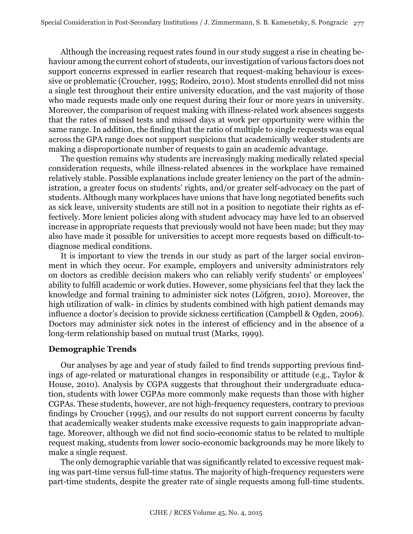Although the increasing request rates found in our study suggest a rise in cheating behaviour among the current cohort of students, our investigation of various factors does not support concerns expressed in earlier research that request-making behaviour is excessive or problematic (Croucher, 1995; Rodeiro, 2010). Most students enrolled did not miss a single test throughout their entire university education, and the vast majority of those who made requests made only one request during their four or more years in university. Moreover, the comparison of request making with illness-related work absences suggests that the rates of missed tests and missed days at work per opportunity were within the same range. In addition, the finding that the ratio of multiple to single requests was equal across the GPA range does not support suspicions that academically weaker students are making a disproportionate number of requests to gain an academic advantage.

The question remains why students are increasingly making medically related special consideration requests, while illness-related absences in the workplace have remained relatively stable. Possible explanations include greater leniency on the part of the administration, a greater focus on students' rights, and/or greater self-advocacy on the part of students. Although many workplaces have unions that have long negotiated benefits such as sick leave, university students are still not in a position to negotiate their rights as effectively. More lenient policies along with student advocacy may have led to an observed increase in appropriate requests that previously would not have been made; but they may also have made it possible for universities to accept more requests based on difficult-todiagnose medical conditions.

It is important to view the trends in our study as part of the larger social environment in which they occur. For example, employers and university administrators rely on doctors as credible decision makers who can reliably verify students' or employees' ability to fulfill academic or work duties. However, some physicians feel that they lack the knowledge and formal training to administer sick notes (Löfgren, 2010). Moreover, the high utilization of walk- in clinics by students combined with high patient demands may influence a doctor's decision to provide sickness certification (Campbell & Ogden, 2006). Doctors may administer sick notes in the interest of efficiency and in the absence of a long-term relationship based on mutual trust (Marks, 1999).

#### **Demographic Trends**

Our analyses by age and year of study failed to find trends supporting previous findings of age-related or maturational changes in responsibility or attitude (e.g., Taylor & House, 2010). Analysis by CGPA suggests that throughout their undergraduate education, students with lower CGPAs more commonly make requests than those with higher CGPAs. These students, however, are not high-frequency requesters, contrary to previous findings by Croucher (1995), and our results do not support current concerns by faculty that academically weaker students make excessive requests to gain inappropriate advantage. Moreover, although we did not find socio-economic status to be related to multiple request making, students from lower socio-economic backgrounds may be more likely to make a single request.

The only demographic variable that was significantly related to excessive request making was part-time versus full-time status. The majority of high-frequency requesters were part-time students, despite the greater rate of single requests among full-time students.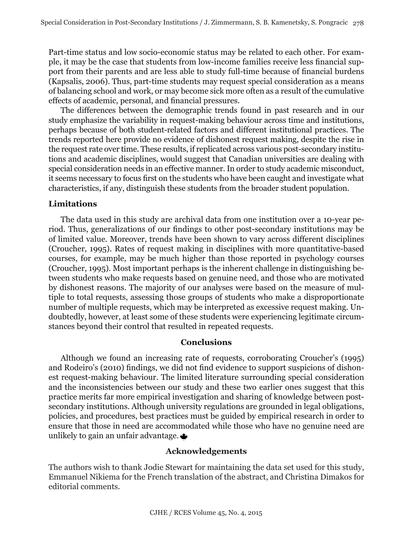Part-time status and low socio-economic status may be related to each other. For example, it may be the case that students from low-income families receive less financial support from their parents and are less able to study full-time because of financial burdens (Kapsalis, 2006). Thus, part-time students may request special consideration as a means of balancing school and work, or may become sick more often as a result of the cumulative effects of academic, personal, and financial pressures.

The differences between the demographic trends found in past research and in our study emphasize the variability in request-making behaviour across time and institutions, perhaps because of both student-related factors and different institutional practices. The trends reported here provide no evidence of dishonest request making, despite the rise in the request rate over time. These results, if replicated across various post-secondary institutions and academic disciplines, would suggest that Canadian universities are dealing with special consideration needs in an effective manner. In order to study academic misconduct, it seems necessary to focus first on the students who have been caught and investigate what characteristics, if any, distinguish these students from the broader student population.

## **Limitations**

The data used in this study are archival data from one institution over a 10-year period. Thus, generalizations of our findings to other post-secondary institutions may be of limited value. Moreover, trends have been shown to vary across different disciplines (Croucher, 1995). Rates of request making in disciplines with more quantitative-based courses, for example, may be much higher than those reported in psychology courses (Croucher, 1995). Most important perhaps is the inherent challenge in distinguishing between students who make requests based on genuine need, and those who are motivated by dishonest reasons. The majority of our analyses were based on the measure of multiple to total requests, assessing those groups of students who make a disproportionate number of multiple requests, which may be interpreted as excessive request making. Undoubtedly, however, at least some of these students were experiencing legitimate circumstances beyond their control that resulted in repeated requests.

## **Conclusions**

Although we found an increasing rate of requests, corroborating Croucher's (1995) and Rodeiro's (2010) findings, we did not find evidence to support suspicions of dishonest request-making behaviour. The limited literature surrounding special consideration and the inconsistencies between our study and these two earlier ones suggest that this practice merits far more empirical investigation and sharing of knowledge between postsecondary institutions. Although university regulations are grounded in legal obligations, policies, and procedures, best practices must be guided by empirical research in order to ensure that those in need are accommodated while those who have no genuine need are unlikely to gain an unfair advantage.

## **Acknowledgements**

The authors wish to thank Jodie Stewart for maintaining the data set used for this study, Emmanuel Nikiema for the French translation of the abstract, and Christina Dimakos for editorial comments.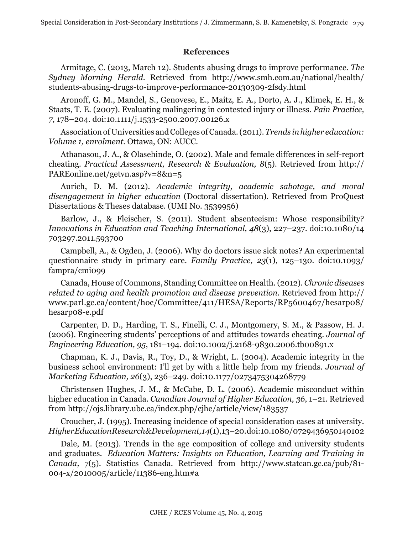# **References**

Armitage, C. (2013, March 12). Students abusing drugs to improve performance. *The Sydney Morning Herald.* Retrieved from http://www.smh.com.au/national/health/ students-abusing-drugs-to-improve-performance-20130309-2fsdy.html

Aronoff, G. M., Mandel, S., Genovese, E., Maitz, E. A., Dorto, A. J., Klimek, E. H., & Staats, T. E. (2007). Evaluating malingering in contested injury or illness. *Pain Practice, 7*, 178–204. doi:10.1111/j.1533-2500.2007.00126.x

Association of Universities and Colleges of Canada. (2011). *Trends in higher education: Volume 1, enrolment*. Ottawa, ON: AUCC.

Athanasou, J. A., & Olasehinde, O. (2002). Male and female differences in self-report cheating. *Practical Assessment, Research & Evaluation, 8*(5). Retrieved from http:// PAREonline.net/getvn.asp?v=8&n=5

Aurich, D. M. (2012). *Academic integrity, academic sabotage, and moral disengagement in higher education* (Doctoral dissertation). Retrieved from ProQuest Dissertations & Theses database. (UMI No. 3539956)

Barlow, J., & Fleischer, S. (2011). Student absenteeism: Whose responsibility? *Innovations in Education and Teaching International, 48*(3), 227–237. doi:10.1080/14 703297.2011.593700

Campbell, A., & Ogden, J. (2006). Why do doctors issue sick notes? An experimental questionnaire study in primary care. *Family Practice, 23*(1), 125–130. doi:10.1093/ fampra/cmi099

Canada, House of Commons, Standing Committee on Health. (2012). *Chronic diseases related to aging and health promotion and disease prevention*. Retrieved from http:// www.parl.gc.ca/content/hoc/Committee/411/HESA/Reports/RP5600467/hesarp08/ hesarp08-e.pdf

Carpenter, D. D., Harding, T. S., Finelli, C. J., Montgomery, S. M., & Passow, H. J. (2006). Engineering students' perceptions of and attitudes towards cheating. *Journal of Engineering Education, 95*, 181–194. doi:10.1002/j.2168-9830.2006.tb00891.x

Chapman, K. J., Davis, R., Toy, D., & Wright, L. (2004). Academic integrity in the business school environment: I'll get by with a little help from my friends. *Journal of Marketing Education, 26*(3), 236–249. doi:10.1177/0273475304268779

Christensen Hughes, J. M., & McCabe, D. L. (2006). Academic misconduct within higher education in Canada. *Canadian Journal of Higher Education, 36*, 1–21. Retrieved from http://ojs.library.ubc.ca/index.php/cjhe/article/view/183537

Croucher, J. (1995). Increasing incidence of special consideration cases at university. *Higher Education Research & Development, 14*(1), 13–20. doi:10.1080/0729436950140102

Dale, M. (2013). Trends in the age composition of college and university students and graduates. *Education Matters: Insights on Education, Learning and Training in Canada,* 7(5). Statistics Canada. Retrieved from http://www.statcan.gc.ca/pub/81- 004-x/2010005/article/11386-eng.htm#a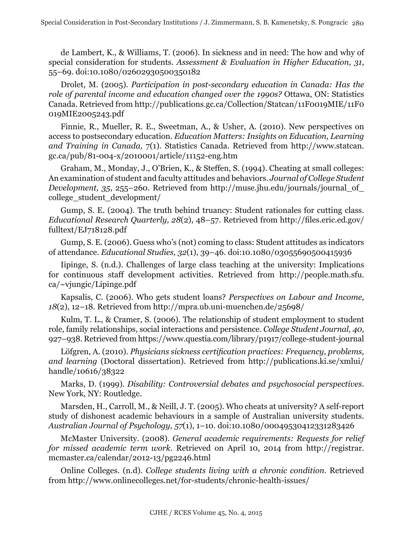de Lambert, K., & Williams, T. (2006). In sickness and in need: The how and why of special consideration for students*. Assessment & Evaluation in Higher Education, 31*, 55–69. doi:10.1080/02602930500350182

Drolet, M. (2005). *Participation in post-secondary education in Canada: Has the role of parental income and education changed over the 1990s?* Ottawa, ON: Statistics Canada. Retrieved from http://publications.gc.ca/Collection/Statcan/11F0019MIE/11F0 019MIE2005243.pdf

Finnie, R., Mueller, R. E., Sweetman, A., & Usher, A. (2010). New perspectives on access to postsecondary education. *Education Matters: Insights on Education, Learning and Training in Canada,* 7(1). Statistics Canada. Retrieved from http://www.statcan. gc.ca/pub/81-004-x/2010001/article/11152-eng.htm

Graham, M., Monday, J., O'Brien, K., & Steffen, S. (1994). Cheating at small colleges: An examination of student and faculty attitudes and behaviors. *Journal of College Student Development, 35, 255–260.* Retrieved from http://muse.jhu.edu/journals/journal\_of\_ college\_student\_development/

Gump, S. E. (2004). The truth behind truancy: Student rationales for cutting class. *Educational Research Quarterly, 28*(2), 48–57. Retrieved from http://files.eric.ed.gov/ fulltext/EJ718128.pdf

Gump, S. E. (2006). Guess who's (not) coming to class: Student attitudes as indicators of attendance. *Educational Studies, 32*(1), 39–46. doi:10.1080/03055690500415936

Iipinge, S. (n.d.). Challenges of large class teaching at the university: Implications for continuous staff development activities. Retrieved from http://people.math.sfu. ca/~vjungic/Lipinge.pdf

Kapsalis, C. (2006). Who gets student loans? *Perspectives on Labour and Income, 18*(2), 12–18. Retrieved from http://mpra.ub.uni-muenchen.de/25698/

Kulm, T. L., & Cramer, S. (2006). The relationship of student employment to student role, family relationships, social interactions and persistence. *College Student Journal, 40*, 927–938. Retrieved from https://www.questia.com/library/p1917/college-student-journal

Löfgren, A. (2010). *Physicians sickness certification practices: Frequency, problems, and learning* (Doctoral dissertation). Retrieved from http://publications.ki.se/xmlui/ handle/10616/38322

Marks, D. (1999). *Disability: Controversial debates and psychosocial perspectives*. New York, NY: Routledge.

Marsden, H., Carroll, M., & Neill, J. T. (2005). Who cheats at university? A self-report study of dishonest academic behaviours in a sample of Australian university students. *Australian Journal of Psychology, 57*(1), 1–10. doi:10.1080/00049530412331283426

McMaster University. (2008). *General academic requirements: Requests for relief for missed academic term work*. Retrieved on April 10, 2014 from http://registrar. mcmaster.ca/calendar/2012-13/pg2246.html

Online Colleges. (n.d). *College students living with a chronic condition*. Retrieved from http://www.onlinecolleges.net/for-students/chronic-health-issues/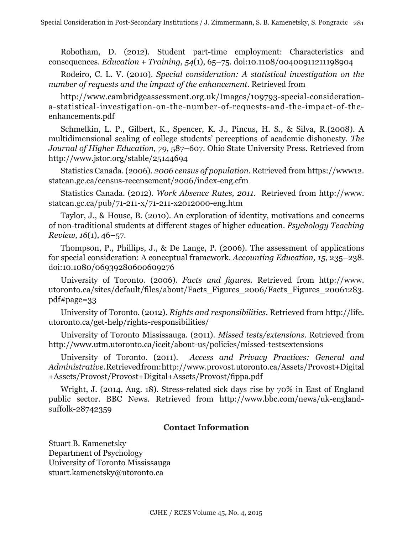Robotham, D. (2012). Student part-time employment: Characteristics and consequences. *Education + Training, 54*(1), 65–75. doi:10.1108/00400911211198904

Rodeiro, C. L. V. (2010). *Special consideration: A statistical investigation on the number of requests and the impact of the enhancement*. Retrieved from

http://www.cambridgeassessment.org.uk/Images/109793-special-considerationa-statistical-investigation-on-the-number-of-requests-and-the-impact-of-theenhancements.pdf

Schmelkin, L. P., Gilbert, K., Spencer, K. J., Pincus, H. S., & Silva, R.(2008). A multidimensional scaling of college students' perceptions of academic dishonesty. *The Journal of Higher Education, 79*, 587–607. Ohio State University Press. Retrieved from http://www.jstor.org/stable/25144694

Statistics Canada. (2006). *2006 census of population*. Retrieved from https://www12. statcan.gc.ca/census-recensement/2006/index-eng.cfm

Statistics Canada. (2012). *Work Absence Rates, 2011.* Retrieved from http://www. statcan.gc.ca/pub/71-211-x/71-211-x2012000-eng.htm

Taylor, J., & House, B. (2010). An exploration of identity, motivations and concerns of non-traditional students at different stages of higher education. *Psychology Teaching Review, 16*(1), 46–57.

Thompson, P., Phillips, J., & De Lange, P. (2006). The assessment of applications for special consideration: A conceptual framework. *Accounting Education, 15*, 235–238. doi:10.1080/06939280600609276

University of Toronto. (2006). *Facts and figures*. Retrieved from http://www. utoronto.ca/sites/default/files/about/Facts\_Figures\_2006/Facts\_Figures\_20061283. pdf#page=33

University of Toronto. (2012). *Rights and responsibilities*. Retrieved from http://life. utoronto.ca/get-help/rights-responsibilities/

University of Toronto Mississauga. (2011). *Missed tests/extensions*. Retrieved from http://www.utm.utoronto.ca/iccit/about-us/policies/missed-testsextensions

University of Toronto. (2011). *Access and Privacy Practices: General and Administrative*. Retrieved from: http://www.provost.utoronto.ca/Assets/Provost+Digital +Assets/Provost/Provost+Digital+Assets/Provost/fippa.pdf

Wright, J. (2014, Aug. 18). Stress-related sick days rise by 70% in East of England public sector. BBC News. Retrieved from http://www.bbc.com/news/uk-englandsuffolk-28742359

## **Contact Information**

Stuart B. Kamenetsky Department of Psychology University of Toronto Mississauga stuart.kamenetsky@utoronto.ca